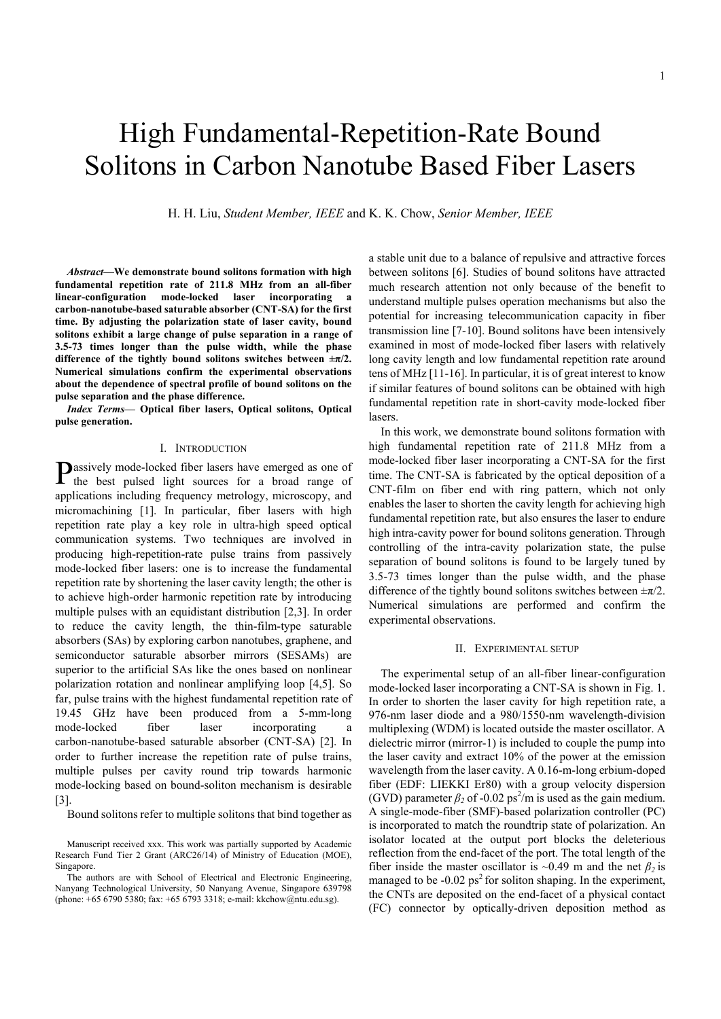# High Fundamental-Repetition-Rate Bound Solitons in Carbon Nanotube Based Fiber Lasers

H. H. Liu, *Student Member, IEEE* and K. K. Chow, *Senior Member, IEEE*

*Abstract***—We demonstrate bound solitons formation with high fundamental repetition rate of 211.8 MHz from an all-fiber linear-configuration mode-locked laser incorporating a carbon-nanotube-based saturable absorber (CNT-SA) for the first time. By adjusting the polarization state of laser cavity, bound solitons exhibit a large change of pulse separation in a range of 3.5-73 times longer than the pulse width, while the phase**  difference of the tightly bound solitons switches between  $\pm \pi/2$ . **Numerical simulations confirm the experimental observations about the dependence of spectral profile of bound solitons on the pulse separation and the phase difference.** 

*Index Terms***— Optical fiber lasers, Optical solitons, Optical pulse generation.** 

#### I. INTRODUCTION

assively mode-locked fiber lasers have emerged as one of Passively mode-locked fiber lasers have emerged as one of the best pulsed light sources for a broad range of applications including frequency metrology, microscopy, and micromachining [1]. In particular, fiber lasers with high repetition rate play a key role in ultra-high speed optical communication systems. Two techniques are involved in producing high-repetition-rate pulse trains from passively mode-locked fiber lasers: one is to increase the fundamental repetition rate by shortening the laser cavity length; the other is to achieve high-order harmonic repetition rate by introducing multiple pulses with an equidistant distribution [2,3]. In order to reduce the cavity length, the thin-film-type saturable absorbers (SAs) by exploring carbon nanotubes, graphene, and semiconductor saturable absorber mirrors (SESAMs) are superior to the artificial SAs like the ones based on nonlinear polarization rotation and nonlinear amplifying loop [4,5]. So far, pulse trains with the highest fundamental repetition rate of 19.45 GHz have been produced from a 5-mm-long mode-locked fiber laser incorporating a carbon-nanotube-based saturable absorber (CNT-SA) [2]. In order to further increase the repetition rate of pulse trains, multiple pulses per cavity round trip towards harmonic mode-locking based on bound-soliton mechanism is desirable [3].

Bound solitons refer to multiple solitons that bind together as

a stable unit due to a balance of repulsive and attractive forces between solitons [6]. Studies of bound solitons have attracted much research attention not only because of the benefit to understand multiple pulses operation mechanisms but also the potential for increasing telecommunication capacity in fiber transmission line [7-10]. Bound solitons have been intensively examined in most of mode-locked fiber lasers with relatively long cavity length and low fundamental repetition rate around tens of MHz [11-16]. In particular, it is of great interest to know if similar features of bound solitons can be obtained with high fundamental repetition rate in short-cavity mode-locked fiber lasers.

In this work, we demonstrate bound solitons formation with high fundamental repetition rate of 211.8 MHz from a mode-locked fiber laser incorporating a CNT-SA for the first time. The CNT-SA is fabricated by the optical deposition of a CNT-film on fiber end with ring pattern, which not only enables the laser to shorten the cavity length for achieving high fundamental repetition rate, but also ensures the laser to endure high intra-cavity power for bound solitons generation. Through controlling of the intra-cavity polarization state, the pulse separation of bound solitons is found to be largely tuned by 3.5-73 times longer than the pulse width, and the phase difference of the tightly bound solitons switches between  $\pm \pi/2$ . Numerical simulations are performed and confirm the experimental observations.

### II. EXPERIMENTAL SETUP

The experimental setup of an all-fiber linear-configuration mode-locked laser incorporating a CNT-SA is shown in Fig. 1. In order to shorten the laser cavity for high repetition rate, a 976-nm laser diode and a 980/1550-nm wavelength-division multiplexing (WDM) is located outside the master oscillator. A dielectric mirror (mirror-1) is included to couple the pump into the laser cavity and extract 10% of the power at the emission wavelength from the laser cavity. A 0.16-m-long erbium-doped fiber (EDF: LIEKKI Er80) with a group velocity dispersion (GVD) parameter  $\beta_2$  of -0.02 ps<sup>2</sup>/m is used as the gain medium. A single-mode-fiber (SMF)-based polarization controller (PC) is incorporated to match the roundtrip state of polarization. An isolator located at the output port blocks the deleterious reflection from the end-facet of the port. The total length of the fiber inside the master oscillator is ~0.49 m and the net  $\beta_2$  is managed to be  $-0.02$  ps<sup>2</sup> for soliton shaping. In the experiment, the CNTs are deposited on the end-facet of a physical contact (FC) connector by optically-driven deposition method as

Manuscript received xxx. This work was partially supported by Academic Research Fund Tier 2 Grant (ARC26/14) of Ministry of Education (MOE), Singapore.

The authors are with School of Electrical and Electronic Engineering, Nanyang Technological University, 50 Nanyang Avenue, Singapore 639798 (phone: +65 6790 5380; fax: +65 6793 3318; e-mail: kkchow@ntu.edu.sg).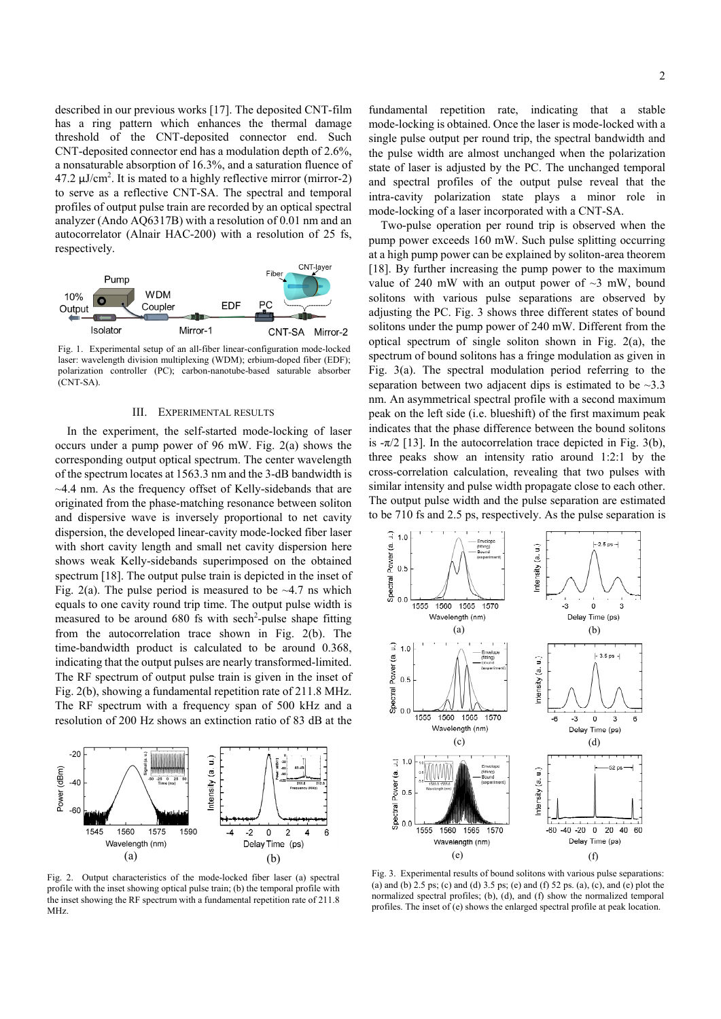described in our previous works [17]. The deposited CNT-film has a ring pattern which enhances the thermal damage threshold of the CNT-deposited connector end. Such CNT-deposited connector end has a modulation depth of 2.6%, a nonsaturable absorption of 16.3%, and a saturation fluence of 47.2  $\mu$ J/cm<sup>2</sup>. It is mated to a highly reflective mirror (mirror-2) to serve as a reflective CNT-SA. The spectral and temporal profiles of output pulse train are recorded by an optical spectral analyzer (Ando AQ6317B) with a resolution of 0.01 nm and an autocorrelator (Alnair HAC-200) with a resolution of 25 fs, respectively.



Fig. 1. Experimental setup of an all-fiber linear-configuration mode-locked laser: wavelength division multiplexing (WDM); erbium-doped fiber (EDF); polarization controller (PC); carbon-nanotube-based saturable absorber (CNT-SA).

## III. EXPERIMENTAL RESULTS

In the experiment, the self-started mode-locking of laser occurs under a pump power of 96 mW. Fig. 2(a) shows the corresponding output optical spectrum. The center wavelength of the spectrum locates at 1563.3 nm and the 3-dB bandwidth is ~4.4 nm. As the frequency offset of Kelly-sidebands that are originated from the phase-matching resonance between soliton and dispersive wave is inversely proportional to net cavity dispersion, the developed linear-cavity mode-locked fiber laser with short cavity length and small net cavity dispersion here shows weak Kelly-sidebands superimposed on the obtained spectrum [18]. The output pulse train is depicted in the inset of Fig. 2(a). The pulse period is measured to be  $\sim$ 4.7 ns which equals to one cavity round trip time. The output pulse width is measured to be around  $680$  fs with sech<sup>2</sup>-pulse shape fitting from the autocorrelation trace shown in Fig. 2(b). The time-bandwidth product is calculated to be around 0.368, indicating that the output pulses are nearly transformed-limited. The RF spectrum of output pulse train is given in the inset of Fig. 2(b), showing a fundamental repetition rate of 211.8 MHz. The RF spectrum with a frequency span of 500 kHz and a resolution of 200 Hz shows an extinction ratio of 83 dB at the



Fig. 2. Output characteristics of the mode-locked fiber laser (a) spectral profile with the inset showing optical pulse train; (b) the temporal profile with the inset showing the RF spectrum with a fundamental repetition rate of 211.8 MHz.

fundamental repetition rate, indicating that a stable mode-locking is obtained. Once the laser is mode-locked with a single pulse output per round trip, the spectral bandwidth and the pulse width are almost unchanged when the polarization state of laser is adjusted by the PC. The unchanged temporal and spectral profiles of the output pulse reveal that the intra-cavity polarization state plays a minor role in mode-locking of a laser incorporated with a CNT-SA.

Two-pulse operation per round trip is observed when the pump power exceeds 160 mW. Such pulse splitting occurring at a high pump power can be explained by soliton-area theorem [18]. By further increasing the pump power to the maximum value of 240 mW with an output power of  $\sim$ 3 mW, bound solitons with various pulse separations are observed by adjusting the PC. Fig. 3 shows three different states of bound solitons under the pump power of 240 mW. Different from the optical spectrum of single soliton shown in Fig. 2(a), the spectrum of bound solitons has a fringe modulation as given in Fig. 3(a). The spectral modulation period referring to the separation between two adjacent dips is estimated to be  $\sim$ 3.3 nm. An asymmetrical spectral profile with a second maximum peak on the left side (i.e. blueshift) of the first maximum peak indicates that the phase difference between the bound solitons is  $-\pi/2$  [13]. In the autocorrelation trace depicted in Fig. 3(b), three peaks show an intensity ratio around 1:2:1 by the cross-correlation calculation, revealing that two pulses with similar intensity and pulse width propagate close to each other. The output pulse width and the pulse separation are estimated to be 710 fs and 2.5 ps, respectively. As the pulse separation is



Fig. 3. Experimental results of bound solitons with various pulse separations: (a) and (b) 2.5 ps; (c) and (d) 3.5 ps; (e) and (f) 52 ps. (a), (c), and (e) plot the normalized spectral profiles; (b), (d), and (f) show the normalized temporal profiles. The inset of (e) shows the enlarged spectral profile at peak location.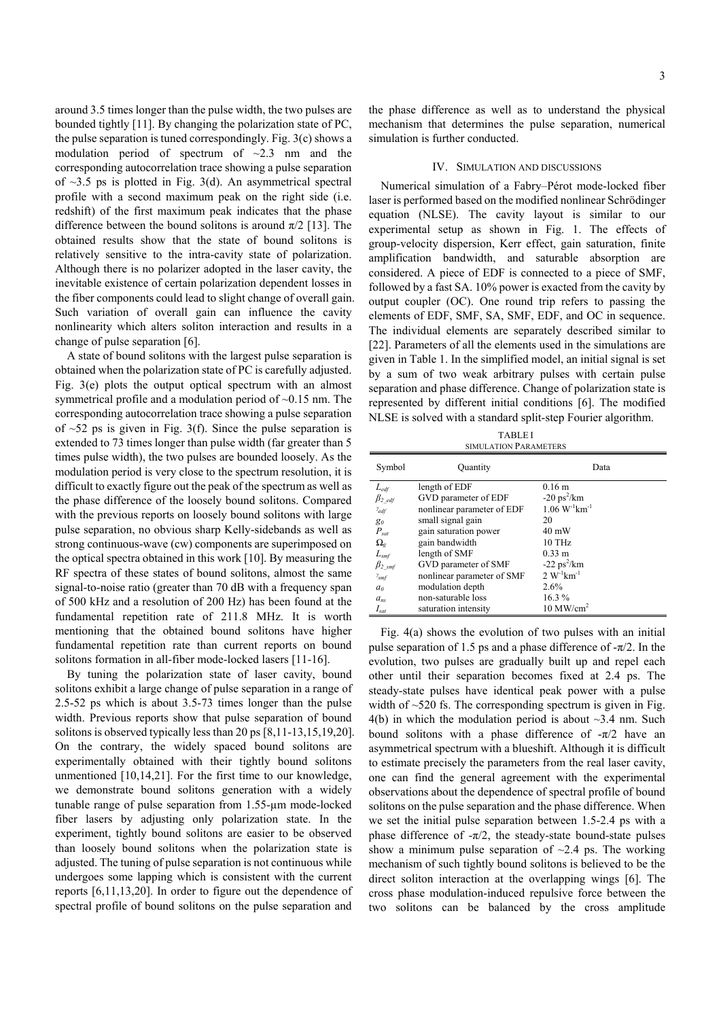around 3.5 times longer than the pulse width, the two pulses are bounded tightly [11]. By changing the polarization state of PC, the pulse separation is tuned correspondingly. Fig. 3(c) shows a modulation period of spectrum of  $\sim$ 2.3 nm and the corresponding autocorrelation trace showing a pulse separation of  $\sim$ 3.5 ps is plotted in Fig. 3(d). An asymmetrical spectral profile with a second maximum peak on the right side (i.e. redshift) of the first maximum peak indicates that the phase difference between the bound solitons is around  $\pi/2$  [13]. The obtained results show that the state of bound solitons is relatively sensitive to the intra-cavity state of polarization. Although there is no polarizer adopted in the laser cavity, the inevitable existence of certain polarization dependent losses in the fiber components could lead to slight change of overall gain. Such variation of overall gain can influence the cavity nonlinearity which alters soliton interaction and results in a change of pulse separation [6].

A state of bound solitons with the largest pulse separation is obtained when the polarization state of PC is carefully adjusted. Fig. 3(e) plots the output optical spectrum with an almost symmetrical profile and a modulation period of ~0.15 nm. The corresponding autocorrelation trace showing a pulse separation of  $\sim$ 52 ps is given in Fig. 3(f). Since the pulse separation is extended to 73 times longer than pulse width (far greater than 5 times pulse width), the two pulses are bounded loosely. As the modulation period is very close to the spectrum resolution, it is difficult to exactly figure out the peak of the spectrum as well as the phase difference of the loosely bound solitons. Compared with the previous reports on loosely bound solitons with large pulse separation, no obvious sharp Kelly-sidebands as well as strong continuous-wave (cw) components are superimposed on the optical spectra obtained in this work [10]. By measuring the RF spectra of these states of bound solitons, almost the same signal-to-noise ratio (greater than 70 dB with a frequency span of 500 kHz and a resolution of 200 Hz) has been found at the fundamental repetition rate of 211.8 MHz. It is worth mentioning that the obtained bound solitons have higher fundamental repetition rate than current reports on bound solitons formation in all-fiber mode-locked lasers [11-16].

By tuning the polarization state of laser cavity, bound solitons exhibit a large change of pulse separation in a range of 2.5-52 ps which is about 3.5-73 times longer than the pulse width. Previous reports show that pulse separation of bound solitons is observed typically less than 20 ps [8,11-13,15,19,20]. On the contrary, the widely spaced bound solitons are experimentally obtained with their tightly bound solitons unmentioned [10,14,21]. For the first time to our knowledge, we demonstrate bound solitons generation with a widely tunable range of pulse separation from 1.55-µm mode-locked fiber lasers by adjusting only polarization state. In the experiment, tightly bound solitons are easier to be observed than loosely bound solitons when the polarization state is adjusted. The tuning of pulse separation is not continuous while undergoes some lapping which is consistent with the current reports [6,11,13,20]. In order to figure out the dependence of spectral profile of bound solitons on the pulse separation and

the phase difference as well as to understand the physical mechanism that determines the pulse separation, numerical simulation is further conducted.

#### IV. SIMULATION AND DISCUSSIONS

Numerical simulation of a Fabry–Pérot mode-locked fiber laser is performed based on the modified nonlinear Schrödinger equation (NLSE). The cavity layout is similar to our experimental setup as shown in Fig. 1. The effects of group-velocity dispersion, Kerr effect, gain saturation, finite amplification bandwidth, and saturable absorption are considered. A piece of EDF is connected to a piece of SMF, followed by a fast SA. 10% power is exacted from the cavity by output coupler (OC). One round trip refers to passing the elements of EDF, SMF, SA, SMF, EDF, and OC in sequence. The individual elements are separately described similar to [22]. Parameters of all the elements used in the simulations are given in Table 1. In the simplified model, an initial signal is set by a sum of two weak arbitrary pulses with certain pulse separation and phase difference. Change of polarization state is represented by different initial conditions [6]. The modified NLSE is solved with a standard split-step Fourier algorithm.

TABLE I SIMULATION PARAMETERS

| Symbol             | Quantity                   | Data                           |
|--------------------|----------------------------|--------------------------------|
| $L_{\text{edf}}$   | length of EDF              | $0.16 \text{ m}$               |
| $\beta_{2}$ edf    | GVD parameter of EDF       | $-20 \text{ ps}^2/\text{km}$   |
| $v_{edf}$          | nonlinear parameter of EDF | $1.06 W^{-1}$ km <sup>-1</sup> |
| $g_0$              | small signal gain          | 20                             |
| $P_{sat}$          | gain saturation power      | $40 \text{ mW}$                |
| $\Omega_{\rm e}$   | gain bandwidth             | $10$ THz                       |
| $L_{\rm smf}$      | length of SMF              | $0.33 \; \text{m}$             |
| $\beta_{2 \; smf}$ | GVD parameter of SMF       | $-22 \text{ ps}^2/\text{km}$   |
| $v_{smf}$          | nonlinear parameter of SMF | $2 W^{-1}$ km <sup>-1</sup>    |
| a <sub>0</sub>     | modulation depth           | 2.6%                           |
| $a_{ns}$           | non-saturable loss         | $16.3\%$                       |
| $I_{sat}$          | saturation intensity       | $10$ MW/cm <sup>2</sup>        |

Fig. 4(a) shows the evolution of two pulses with an initial pulse separation of 1.5 ps and a phase difference of  $-\pi/2$ . In the evolution, two pulses are gradually built up and repel each other until their separation becomes fixed at 2.4 ps. The steady-state pulses have identical peak power with a pulse width of ~520 fs. The corresponding spectrum is given in Fig.  $4(b)$  in which the modulation period is about  $\sim$ 3.4 nm. Such bound solitons with a phase difference of  $-\pi/2$  have an asymmetrical spectrum with a blueshift. Although it is difficult to estimate precisely the parameters from the real laser cavity, one can find the general agreement with the experimental observations about the dependence of spectral profile of bound solitons on the pulse separation and the phase difference. When we set the initial pulse separation between 1.5-2.4 ps with a phase difference of  $-\pi/2$ , the steady-state bound-state pulses show a minimum pulse separation of  $\sim$ 2.4 ps. The working mechanism of such tightly bound solitons is believed to be the direct soliton interaction at the overlapping wings [6]. The cross phase modulation-induced repulsive force between the two solitons can be balanced by the cross amplitude